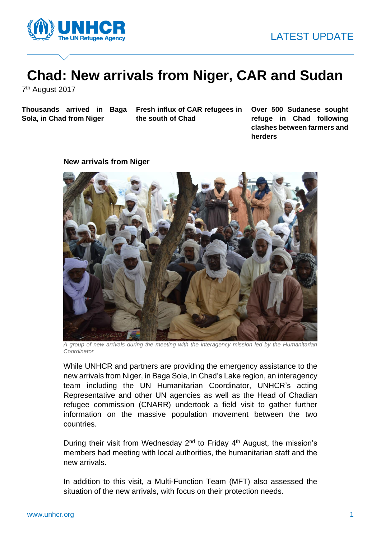

# **Chad: New arrivals from Niger, CAR and Sudan**

7<sup>th</sup> August 2017

**Sola, in Chad from Niger** 

**Thousands arrived in Baga Fresh influx of CAR refugees in the south of Chad** 

**Over 500 Sudanese sought refuge in Chad following clashes between farmers and herders**

### **New arrivals from Niger**



*A group of new arrivals during the meeting with the interagency mission led by the Humanitarian Coordinator*

While UNHCR and partners are providing the emergency assistance to the new arrivals from Niger, in Baga Sola, in Chad's Lake region, an interagency team including the UN Humanitarian Coordinator, UNHCR's acting Representative and other UN agencies as well as the Head of Chadian refugee commission (CNARR) undertook a field visit to gather further information on the massive population movement between the two countries.

During their visit from Wednesday  $2^{nd}$  to Friday  $4^{th}$  August, the mission's members had meeting with local authorities, the humanitarian staff and the new arrivals.

In addition to this visit, a Multi-Function Team (MFT) also assessed the situation of the new arrivals, with focus on their protection needs.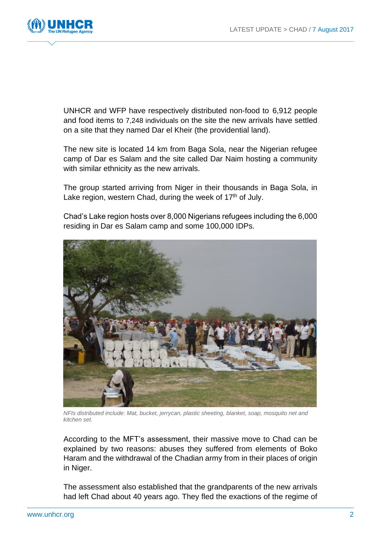

UNHCR and WFP have respectively distributed non-food to 6,912 people and food items to 7,248 individuals on the site the new arrivals have settled on a site that they named Dar el Kheir (the providential land).

The new site is located 14 km from Baga Sola, near the Nigerian refugee camp of Dar es Salam and the site called Dar Naim hosting a community with similar ethnicity as the new arrivals.

The group started arriving from Niger in their thousands in Baga Sola, in Lake region, western Chad, during the week of  $17<sup>th</sup>$  of July.

Chad's Lake region hosts over 8,000 Nigerians refugees including the 6,000 residing in Dar es Salam camp and some 100,000 IDPs.



*NFIs distributed include: Mat, bucket, jerrycan, plastic sheeting, blanket, soap, mosquito net and kitchen set.*

According to the MFT's assessment, their massive move to Chad can be explained by two reasons: abuses they suffered from elements of Boko Haram and the withdrawal of the Chadian army from in their places of origin in Niger.

The assessment also established that the grandparents of the new arrivals had left Chad about 40 years ago. They fled the exactions of the regime of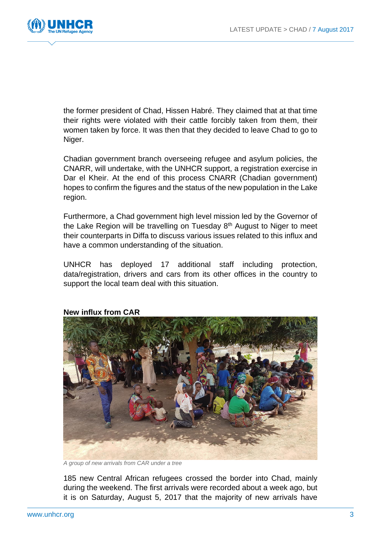

the former president of Chad, Hissen Habré. They claimed that at that time their rights were violated with their cattle forcibly taken from them, their women taken by force. It was then that they decided to leave Chad to go to Niger.

Chadian government branch overseeing refugee and asylum policies, the CNARR, will undertake, with the UNHCR support, a registration exercise in Dar el Kheir. At the end of this process CNARR (Chadian government) hopes to confirm the figures and the status of the new population in the Lake region.

Furthermore, a Chad government high level mission led by the Governor of the Lake Region will be travelling on Tuesday  $8<sup>th</sup>$  August to Niger to meet their counterparts in Diffa to discuss various issues related to this influx and have a common understanding of the situation.

UNHCR has deployed 17 additional staff including protection, data/registration, drivers and cars from its other offices in the country to support the local team deal with this situation.



## **New influx from CAR**

*A group of new arrivals from CAR under a tree*

185 new Central African refugees crossed the border into Chad, mainly during the weekend. The first arrivals were recorded about a week ago, but it is on Saturday, August 5, 2017 that the majority of new arrivals have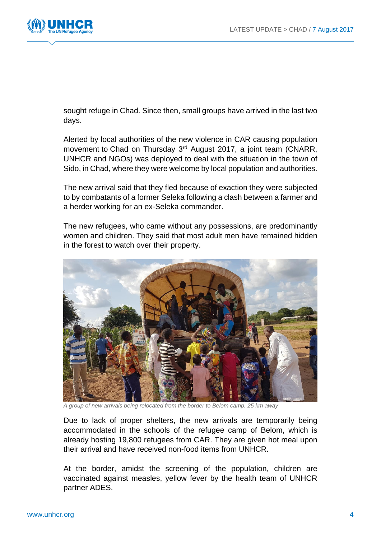

sought refuge in Chad. Since then, small groups have arrived in the last two days.

Alerted by local authorities of the new violence in CAR causing population movement to Chad on Thursday 3<sup>rd</sup> August 2017, a joint team (CNARR, UNHCR and NGOs) was deployed to deal with the situation in the town of Sido, in Chad, where they were welcome by local population and authorities.

The new arrival said that they fled because of exaction they were subjected to by combatants of a former Seleka following a clash between a farmer and a herder working for an ex-Seleka commander.

The new refugees, who came without any possessions, are predominantly women and children. They said that most adult men have remained hidden in the forest to watch over their property.



*A group of new arrivals being relocated from the border to Belom camp, 25 km away*

Due to lack of proper shelters, the new arrivals are temporarily being accommodated in the schools of the refugee camp of Belom, which is already hosting 19,800 refugees from CAR. They are given hot meal upon their arrival and have received non-food items from UNHCR.

At the border, amidst the screening of the population, children are vaccinated against measles, yellow fever by the health team of UNHCR partner ADES.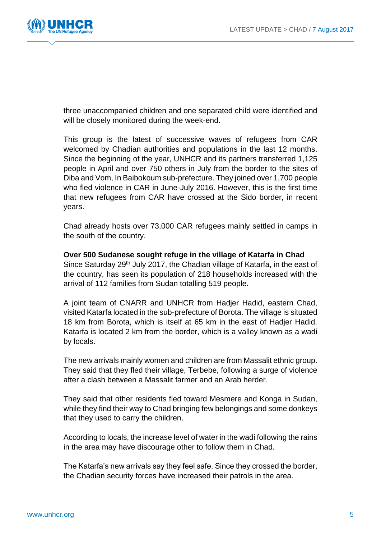

three unaccompanied children and one separated child were identified and will be closely monitored during the week-end.

This group is the latest of successive waves of refugees from CAR welcomed by Chadian authorities and populations in the last 12 months. Since the beginning of the year, UNHCR and its partners transferred 1,125 people in April and over 750 others in July from the border to the sites of Diba and Vom, In Baibokoum sub-prefecture. They joined over 1,700 people who fled violence in CAR in June-July 2016. However, this is the first time that new refugees from CAR have crossed at the Sido border, in recent years.

Chad already hosts over 73,000 CAR refugees mainly settled in camps in the south of the country.

## **Over 500 Sudanese sought refuge in the village of Katarfa in Chad**

Since Saturday 29<sup>th</sup> July 2017, the Chadian village of Katarfa, in the east of the country, has seen its population of 218 households increased with the arrival of 112 families from Sudan totalling 519 people.

A joint team of CNARR and UNHCR from Hadjer Hadid, eastern Chad, visited Katarfa located in the sub-prefecture of Borota. The village is situated 18 km from Borota, which is itself at 65 km in the east of Hadjer Hadid. Katarfa is located 2 km from the border, which is a valley known as a wadi by locals.

The new arrivals mainly women and children are from Massalit ethnic group. They said that they fled their village, Terbebe, following a surge of violence after a clash between a Massalit farmer and an Arab herder.

They said that other residents fled toward Mesmere and Konga in Sudan, while they find their way to Chad bringing few belongings and some donkeys that they used to carry the children.

According to locals, the increase level of water in the wadi following the rains in the area may have discourage other to follow them in Chad.

The Katarfa's new arrivals say they feel safe. Since they crossed the border, the Chadian security forces have increased their patrols in the area.